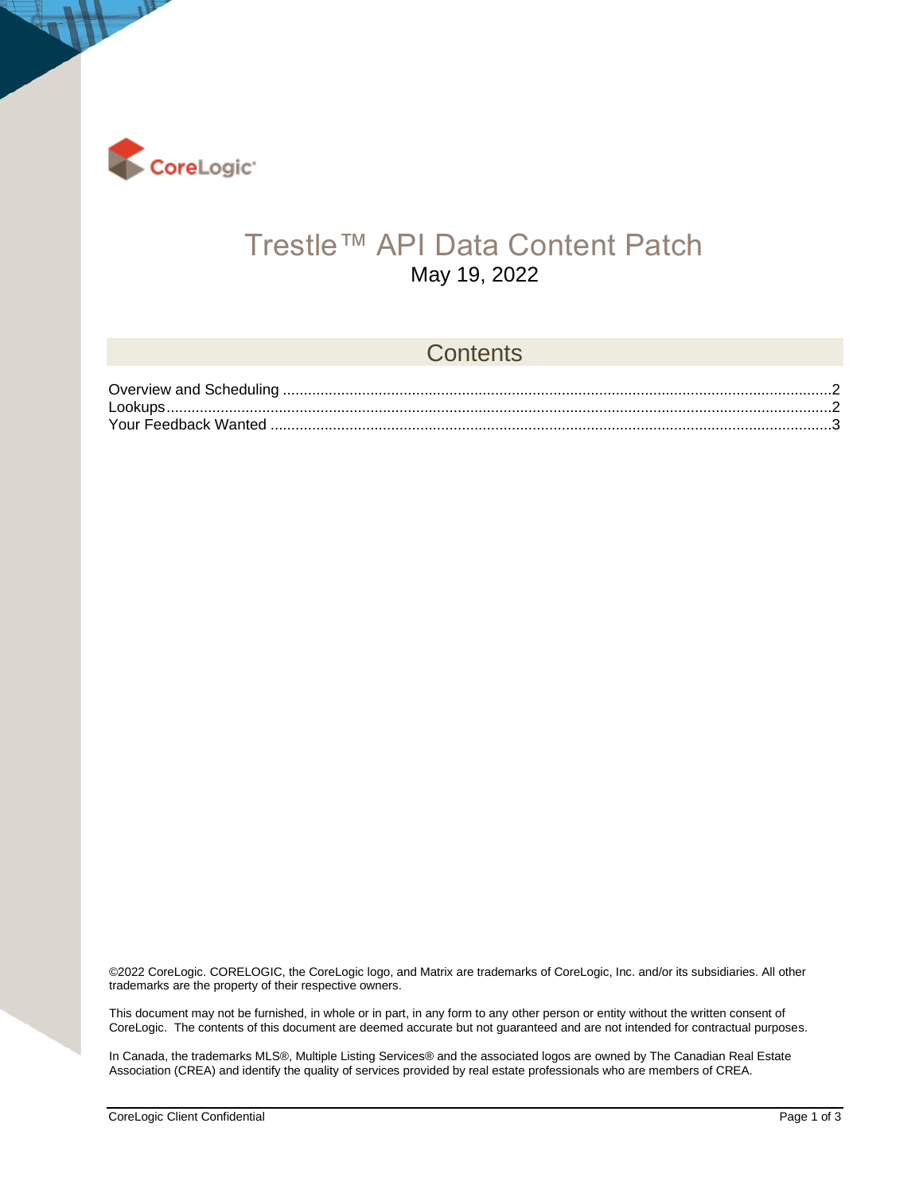

 $\mathbf{1}^3$ 

### Trestle™ API Data Content Patch May 19, 2022

#### **Contents**

©2022 CoreLogic. CORELOGIC, the CoreLogic logo, and Matrix are trademarks of CoreLogic, Inc. and/or its subsidiaries. All other trademarks are the property of their respective owners.

This document may not be furnished, in whole or in part, in any form to any other person or entity without the written consent of CoreLogic. The contents of this document are deemed accurate but not guaranteed and are not intended for contractual purposes.

In Canada, the trademarks MLS®, Multiple Listing Services® and the associated logos are owned by The Canadian Real Estate Association (CREA) and identify the quality of services provided by real estate professionals who are members of CREA.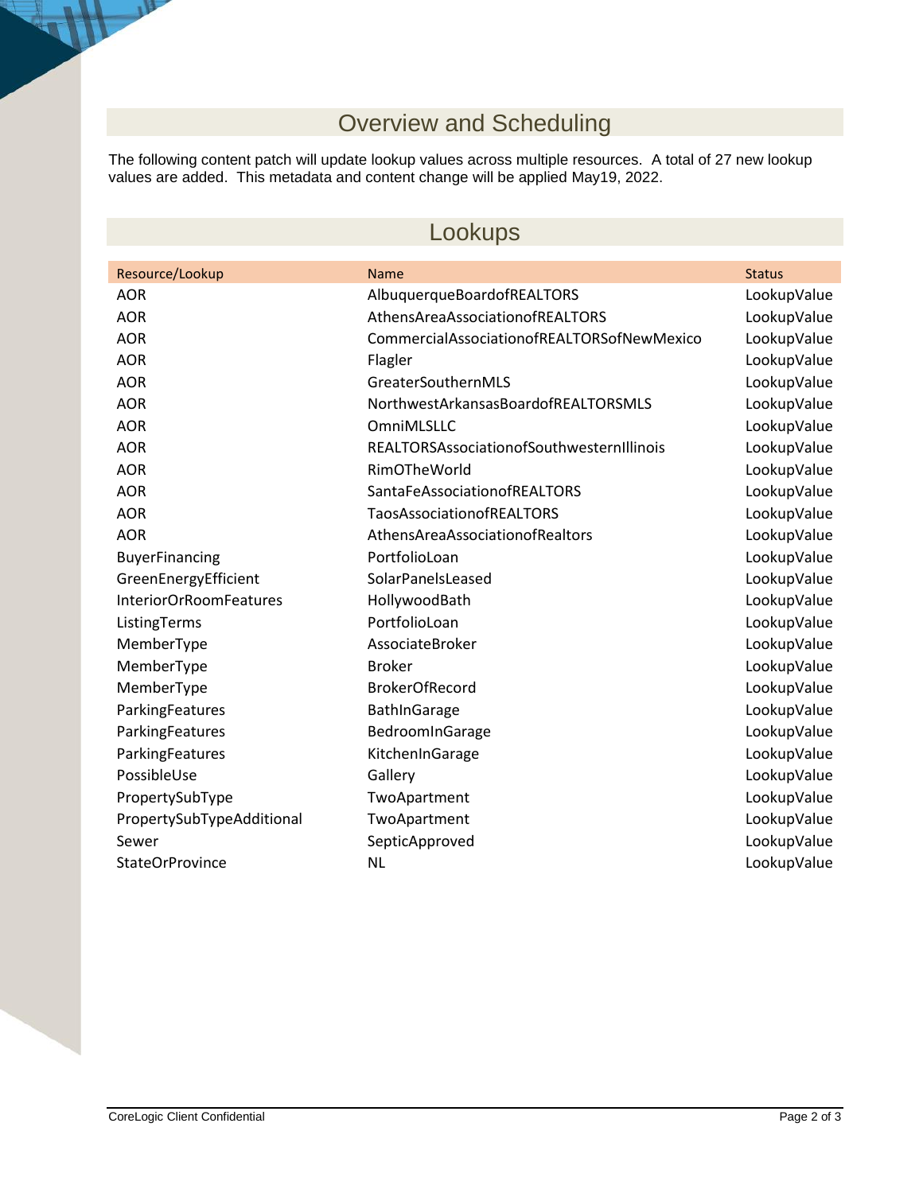# Overview and Scheduling

<span id="page-1-0"></span>The following content patch will update lookup values across multiple resources. A total of 27 new lookup values are added. This metadata and content change will be applied May19, 2022.

#### Lookups

<span id="page-1-1"></span>

| <b>Name</b>                                | <b>Status</b> |
|--------------------------------------------|---------------|
| AlbuquerqueBoardofREALTORS                 | LookupValue   |
| AthensAreaAssociationofREALTORS            | LookupValue   |
| CommercialAssociationofREALTORSofNewMexico | LookupValue   |
| Flagler                                    | LookupValue   |
| GreaterSouthernMLS                         | LookupValue   |
| NorthwestArkansasBoardofREALTORSMLS        | LookupValue   |
| OmniMLSLLC                                 | LookupValue   |
| REALTORSAssociationofSouthwesternIllinois  | LookupValue   |
| RimOTheWorld                               | LookupValue   |
| <b>SantaFeAssociationofREALTORS</b>        | LookupValue   |
| <b>TaosAssociationofREALTORS</b>           | LookupValue   |
| AthensAreaAssociationofRealtors            | LookupValue   |
| PortfolioLoan                              | LookupValue   |
| SolarPanelsLeased                          | LookupValue   |
| HollywoodBath                              | LookupValue   |
| PortfolioLoan                              | LookupValue   |
| AssociateBroker                            | LookupValue   |
| <b>Broker</b>                              | LookupValue   |
| <b>BrokerOfRecord</b>                      | LookupValue   |
| BathInGarage                               | LookupValue   |
| BedroomInGarage                            | LookupValue   |
| KitchenInGarage                            | LookupValue   |
| Gallery                                    | LookupValue   |
| TwoApartment                               | LookupValue   |
| TwoApartment                               | LookupValue   |
| SepticApproved                             | LookupValue   |
| <b>NL</b>                                  | LookupValue   |
|                                            |               |

 $\mathbf{A}$